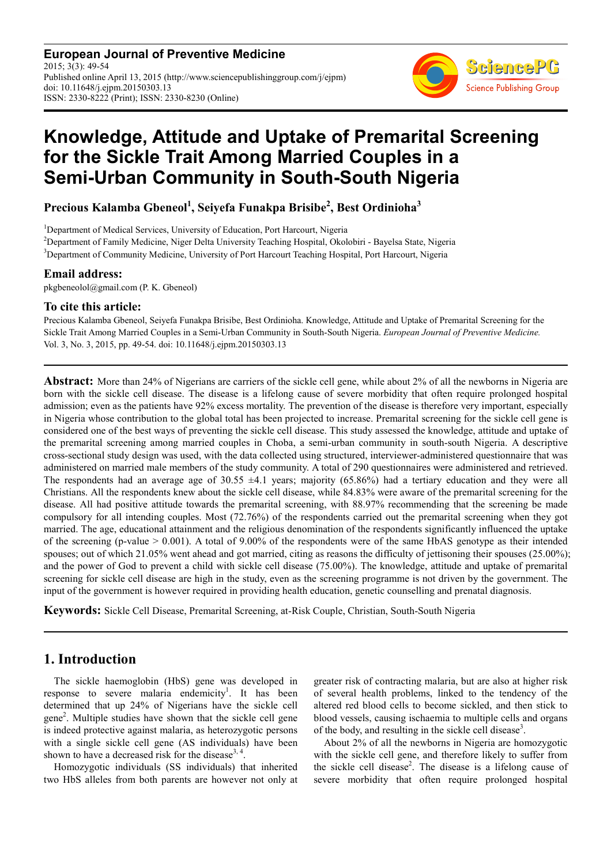**European Journal of Preventive Medicine** 2015; 3(3): 49-54 Published online April 13, 2015 (http://www.sciencepublishinggroup.com/j/ejpm) doi: 10.11648/j.ejpm.20150303.13 ISSN: 2330-8222 (Print); ISSN: 2330-8230 (Online)



# **Knowledge, Attitude and Uptake of Premarital Screening for the Sickle Trait Among Married Couples in a Semi-Urban Community in South-South Nigeria**

**Precious Kalamba Gbeneol<sup>1</sup> , Seiyefa Funakpa Brisibe<sup>2</sup> , Best Ordinioha<sup>3</sup>**

<sup>1</sup>Department of Medical Services, University of Education, Port Harcourt, Nigeria <sup>2</sup>Department of Family Medicine, Niger Delta University Teaching Hospital, Okolobiri - Bayelsa State, Nigeria <sup>3</sup>Department of Community Medicine, University of Port Harcourt Teaching Hospital, Port Harcourt, Nigeria

### **Email address:**

pkgbeneolol@gmail.com (P. K. Gbeneol)

### **To cite this article:**

Precious Kalamba Gbeneol, Seiyefa Funakpa Brisibe, Best Ordinioha. Knowledge, Attitude and Uptake of Premarital Screening for the Sickle Trait Among Married Couples in a Semi-Urban Community in South-South Nigeria. *European Journal of Preventive Medicine.*  Vol. 3, No. 3, 2015, pp. 49-54. doi: 10.11648/j.ejpm.20150303.13

**Abstract:** More than 24% of Nigerians are carriers of the sickle cell gene, while about 2% of all the newborns in Nigeria are born with the sickle cell disease. The disease is a lifelong cause of severe morbidity that often require prolonged hospital admission; even as the patients have 92% excess mortality. The prevention of the disease is therefore very important, especially in Nigeria whose contribution to the global total has been projected to increase. Premarital screening for the sickle cell gene is considered one of the best ways of preventing the sickle cell disease. This study assessed the knowledge, attitude and uptake of the premarital screening among married couples in Choba, a semi-urban community in south-south Nigeria. A descriptive cross-sectional study design was used, with the data collected using structured, interviewer-administered questionnaire that was administered on married male members of the study community. A total of 290 questionnaires were administered and retrieved. The respondents had an average age of 30.55  $\pm$ 4.1 years; majority (65.86%) had a tertiary education and they were all Christians. All the respondents knew about the sickle cell disease, while 84.83% were aware of the premarital screening for the disease. All had positive attitude towards the premarital screening, with 88.97% recommending that the screening be made compulsory for all intending couples. Most (72.76%) of the respondents carried out the premarital screening when they got married. The age, educational attainment and the religious denomination of the respondents significantly influenced the uptake of the screening (p-value  $> 0.001$ ). A total of 9.00% of the respondents were of the same HbAS genotype as their intended spouses; out of which 21.05% went ahead and got married, citing as reasons the difficulty of jettisoning their spouses (25.00%); and the power of God to prevent a child with sickle cell disease (75.00%). The knowledge, attitude and uptake of premarital screening for sickle cell disease are high in the study, even as the screening programme is not driven by the government. The input of the government is however required in providing health education, genetic counselling and prenatal diagnosis.

**Keywords:** Sickle Cell Disease, Premarital Screening, at-Risk Couple, Christian, South-South Nigeria

# **1. Introduction**

The sickle haemoglobin (HbS) gene was developed in response to severe malaria endemicity<sup>1</sup>. It has been determined that up 24% of Nigerians have the sickle cell gene<sup>2</sup>. Multiple studies have shown that the sickle cell gene is indeed protective against malaria, as heterozygotic persons with a single sickle cell gene (AS individuals) have been shown to have a decreased risk for the disease<sup>3, 4</sup>.

Homozygotic individuals (SS individuals) that inherited two HbS alleles from both parents are however not only at greater risk of contracting malaria, but are also at higher risk of several health problems, linked to the tendency of the altered red blood cells to become sickled, and then stick to blood vessels, causing ischaemia to multiple cells and organs of the body, and resulting in the sickle cell disease<sup>3</sup>.

About 2% of all the newborns in Nigeria are homozygotic with the sickle cell gene, and therefore likely to suffer from the sickle cell disease<sup>2</sup>. The disease is a lifelong cause of severe morbidity that often require prolonged hospital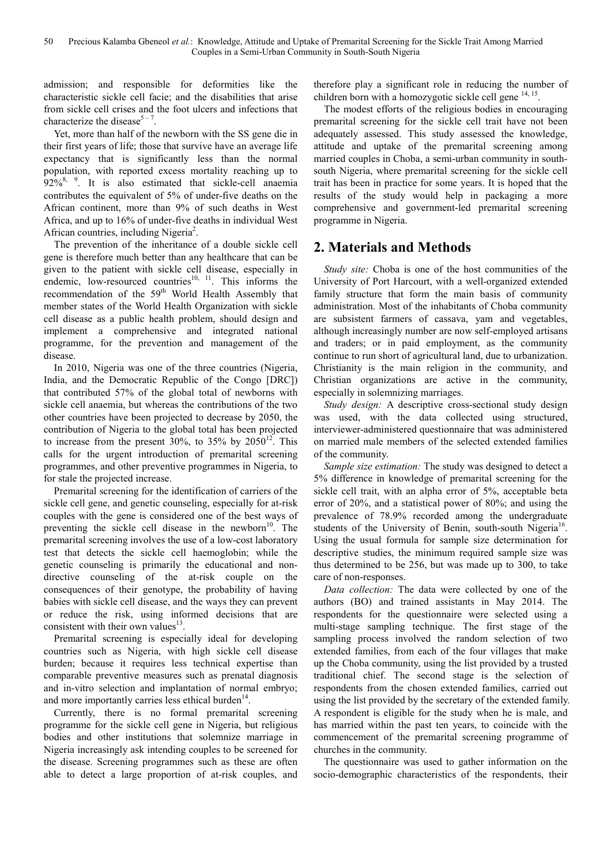admission; and responsible for deformities like the characteristic sickle cell facie; and the disabilities that arise from sickle cell crises and the foot ulcers and infections that characterize the disease<sup>5-7</sup>.

Yet, more than half of the newborn with the SS gene die in their first years of life; those that survive have an average life expectancy that is significantly less than the normal population, with reported excess mortality reaching up to  $92\%$ <sup>8, 9</sup>. It is also estimated that sickle-cell anaemia contributes the equivalent of 5% of under-five deaths on the African continent, more than 9% of such deaths in West Africa, and up to 16% of under-five deaths in individual West African countries, including Nigeria<sup>2</sup>.

The prevention of the inheritance of a double sickle cell gene is therefore much better than any healthcare that can be given to the patient with sickle cell disease, especially in endemic, low-resourced countries<sup>10, 11</sup>. This informs the recommendation of the 59<sup>th</sup> World Health Assembly that member states of the World Health Organization with sickle cell disease as a public health problem, should design and implement a comprehensive and integrated national programme, for the prevention and management of the disease.

In 2010, Nigeria was one of the three countries (Nigeria, India, and the Democratic Republic of the Congo [DRC]) that contributed 57% of the global total of newborns with sickle cell anaemia, but whereas the contributions of the two other countries have been projected to decrease by 2050, the contribution of Nigeria to the global total has been projected to increase from the present  $30\%$ , to  $35\%$  by  $2050^{12}$ . This calls for the urgent introduction of premarital screening programmes, and other preventive programmes in Nigeria, to for stale the projected increase.

Premarital screening for the identification of carriers of the sickle cell gene, and genetic counseling, especially for at-risk couples with the gene is considered one of the best ways of preventing the sickle cell disease in the newborn $10$ . The premarital screening involves the use of a low-cost laboratory test that detects the sickle cell haemoglobin; while the genetic counseling is primarily the educational and nondirective counseling of the at-risk couple on the consequences of their genotype, the probability of having babies with sickle cell disease, and the ways they can prevent or reduce the risk, using informed decisions that are consistent with their own values $^{13}$ .

Premarital screening is especially ideal for developing countries such as Nigeria, with high sickle cell disease burden; because it requires less technical expertise than comparable preventive measures such as prenatal diagnosis and in-vitro selection and implantation of normal embryo; and more importantly carries less ethical burden $14$ .

Currently, there is no formal premarital screening programme for the sickle cell gene in Nigeria, but religious bodies and other institutions that solemnize marriage in Nigeria increasingly ask intending couples to be screened for the disease. Screening programmes such as these are often able to detect a large proportion of at-risk couples, and therefore play a significant role in reducing the number of children born with a homozygotic sickle cell gene  $14, 15$ .

The modest efforts of the religious bodies in encouraging premarital screening for the sickle cell trait have not been adequately assessed. This study assessed the knowledge, attitude and uptake of the premarital screening among married couples in Choba, a semi-urban community in southsouth Nigeria, where premarital screening for the sickle cell trait has been in practice for some years. It is hoped that the results of the study would help in packaging a more comprehensive and government-led premarital screening programme in Nigeria.

# **2. Materials and Methods**

*Study site:* Choba is one of the host communities of the University of Port Harcourt, with a well-organized extended family structure that form the main basis of community administration. Most of the inhabitants of Choba community are subsistent farmers of cassava, yam and vegetables, although increasingly number are now self-employed artisans and traders; or in paid employment, as the community continue to run short of agricultural land, due to urbanization. Christianity is the main religion in the community, and Christian organizations are active in the community, especially in solemnizing marriages.

*Study design:* A descriptive cross-sectional study design was used, with the data collected using structured, interviewer-administered questionnaire that was administered on married male members of the selected extended families of the community.

*Sample size estimation:* The study was designed to detect a 5% difference in knowledge of premarital screening for the sickle cell trait, with an alpha error of 5%, acceptable beta error of 20%, and a statistical power of 80%; and using the prevalence of 78.9% recorded among the undergraduate students of the University of Benin, south-south Nigeria<sup>16</sup>. Using the usual formula for sample size determination for descriptive studies, the minimum required sample size was thus determined to be 256, but was made up to 300, to take care of non-responses.

*Data collection:* The data were collected by one of the authors (BO) and trained assistants in May 2014. The respondents for the questionnaire were selected using a multi-stage sampling technique. The first stage of the sampling process involved the random selection of two extended families, from each of the four villages that make up the Choba community, using the list provided by a trusted traditional chief. The second stage is the selection of respondents from the chosen extended families, carried out using the list provided by the secretary of the extended family. A respondent is eligible for the study when he is male, and has married within the past ten years, to coincide with the commencement of the premarital screening programme of churches in the community.

The questionnaire was used to gather information on the socio-demographic characteristics of the respondents, their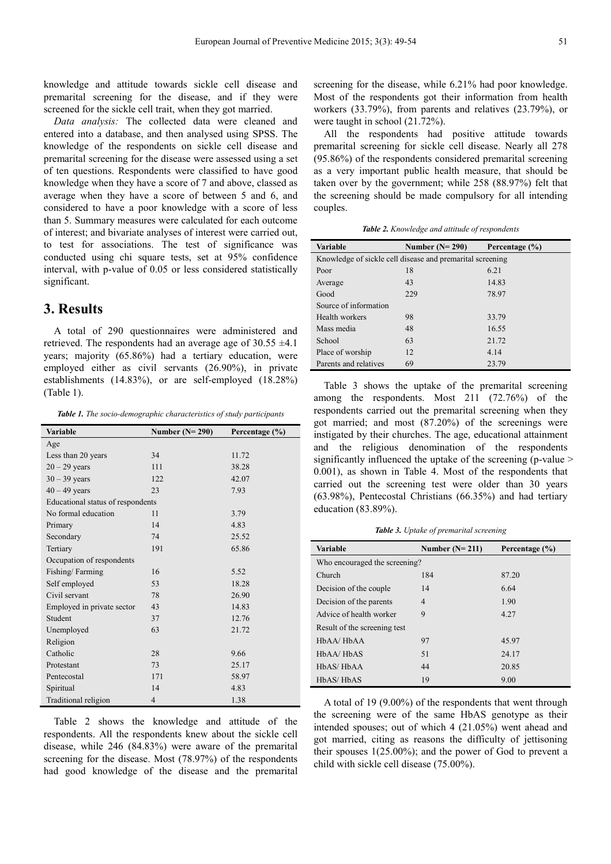knowledge and attitude towards sickle cell disease and premarital screening for the disease, and if they were screened for the sickle cell trait, when they got married.

*Data analysis:* The collected data were cleaned and entered into a database, and then analysed using SPSS. The knowledge of the respondents on sickle cell disease and premarital screening for the disease were assessed using a set of ten questions. Respondents were classified to have good knowledge when they have a score of 7 and above, classed as average when they have a score of between 5 and 6, and considered to have a poor knowledge with a score of less than 5. Summary measures were calculated for each outcome of interest; and bivariate analyses of interest were carried out, to test for associations. The test of significance was conducted using chi square tests, set at 95% confidence interval, with p-value of 0.05 or less considered statistically significant.

# **3. Results**

A total of 290 questionnaires were administered and retrieved. The respondents had an average age of 30.55 ±4.1 years; majority (65.86%) had a tertiary education, were employed either as civil servants (26.90%), in private establishments (14.83%), or are self-employed (18.28%) (Table 1).

*Table 1. The socio-demographic characteristics of study participants* 

| <b>Variable</b>                   | Number $(N=290)$ | Percentage $(\% )$ |  |  |
|-----------------------------------|------------------|--------------------|--|--|
| Age                               |                  |                    |  |  |
| Less than 20 years                | 34               | 11.72              |  |  |
| $20 - 29$ years                   | 111              | 38.28              |  |  |
| $30 - 39$ years                   | 122              | 42.07              |  |  |
| $40 - 49$ years                   | 23               | 7.93               |  |  |
| Educational status of respondents |                  |                    |  |  |
| No formal education               | 11               | 3.79               |  |  |
| Primary                           | 14               | 4.83               |  |  |
| Secondary                         | 74               | 25.52              |  |  |
| Tertiary                          | 191              | 65.86              |  |  |
| Occupation of respondents         |                  |                    |  |  |
| Fishing/Farming                   | 16               | 5.52               |  |  |
| Self employed                     | 53               | 18.28              |  |  |
| Civil servant                     | 78               | 26.90              |  |  |
| Employed in private sector        | 43               | 14.83              |  |  |
| Student                           | 37               | 12.76              |  |  |
| Unemployed                        | 63               | 21.72              |  |  |
| Religion                          |                  |                    |  |  |
| Catholic                          | 28               | 9.66               |  |  |
| Protestant                        | 73               | 25.17              |  |  |
| Pentecostal                       | 171              | 58.97              |  |  |
| Spiritual                         | 14               | 4.83               |  |  |
| Traditional religion              | $\overline{4}$   | 1.38               |  |  |

Table 2 shows the knowledge and attitude of the respondents. All the respondents knew about the sickle cell disease, while 246 (84.83%) were aware of the premarital screening for the disease. Most (78.97%) of the respondents had good knowledge of the disease and the premarital

screening for the disease, while 6.21% had poor knowledge. Most of the respondents got their information from health workers (33.79%), from parents and relatives (23.79%), or were taught in school (21.72%).

All the respondents had positive attitude towards premarital screening for sickle cell disease. Nearly all 278 (95.86%) of the respondents considered premarital screening as a very important public health measure, that should be taken over by the government; while 258 (88.97%) felt that the screening should be made compulsory for all intending couples.

*Table 2. Knowledge and attitude of respondents* 

| <b>Variable</b>                                           | Number $(N=290)$ | Percentage (%) |  |  |
|-----------------------------------------------------------|------------------|----------------|--|--|
| Knowledge of sickle cell disease and premarital screening |                  |                |  |  |
| Poor                                                      | 18               | 6.21           |  |  |
| Average                                                   | 43               | 14.83          |  |  |
| Good                                                      | 229              | 78.97          |  |  |
| Source of information                                     |                  |                |  |  |
| Health workers                                            | 98               | 33.79          |  |  |
| Mass media                                                | 48               | 16.55          |  |  |
| School                                                    | 63               | 21.72          |  |  |
| Place of worship                                          | 12               | 4.14           |  |  |
| Parents and relatives                                     | 69               | 23.79          |  |  |

Table 3 shows the uptake of the premarital screening among the respondents. Most 211 (72.76%) of the respondents carried out the premarital screening when they got married; and most (87.20%) of the screenings were instigated by their churches. The age, educational attainment and the religious denomination of the respondents significantly influenced the uptake of the screening (p-value > 0.001), as shown in Table 4. Most of the respondents that carried out the screening test were older than 30 years (63.98%), Pentecostal Christians (66.35%) and had tertiary education (83.89%).

*Table 3. Uptake of premarital screening* 

| <b>Variable</b>               | Number $(N=211)$ | Percentage (%) |  |  |
|-------------------------------|------------------|----------------|--|--|
| Who encouraged the screening? |                  |                |  |  |
| Church                        | 184              | 87.20          |  |  |
| Decision of the couple        | 14               | 6.64           |  |  |
| Decision of the parents       | $\overline{4}$   | 1.90           |  |  |
| Advice of health worker       | 9                | 4.27           |  |  |
| Result of the screening test  |                  |                |  |  |
| $HbAA/HbAA$                   | 97               | 45.97          |  |  |
| $HbAA/HbAS$                   | 51               | 24.17          |  |  |
| HbAS/HbAA                     | 44               | 20.85          |  |  |
| HbAS/HbAS                     | 19               | 9.00           |  |  |

A total of 19 (9.00%) of the respondents that went through the screening were of the same HbAS genotype as their intended spouses; out of which 4 (21.05%) went ahead and got married, citing as reasons the difficulty of jettisoning their spouses 1(25.00%); and the power of God to prevent a child with sickle cell disease (75.00%).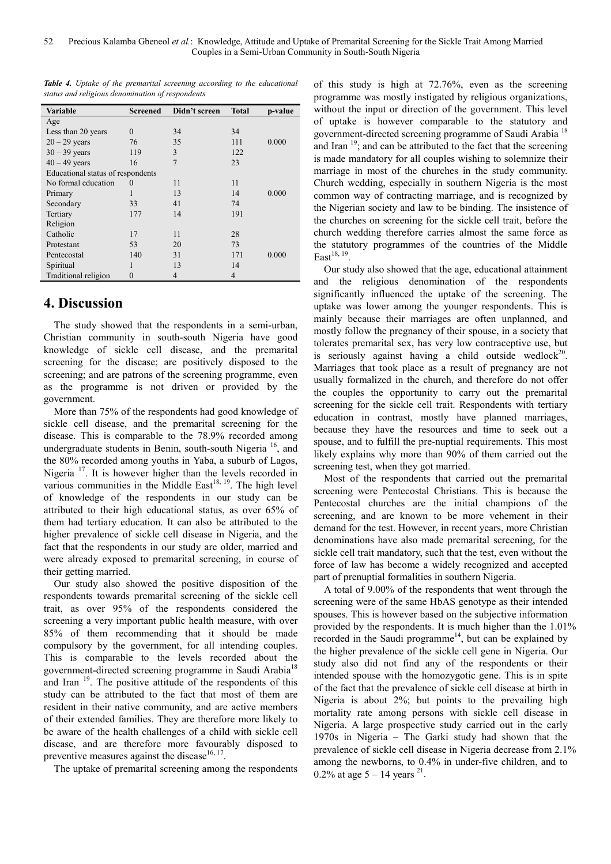|  | <b>Table 4.</b> Uptake of the premarital screening according to the educational |  |  |
|--|---------------------------------------------------------------------------------|--|--|
|  | status and religious denomination of respondents                                |  |  |

| Variable                          | Screened | Didn't screen  | <b>Total</b>   | p-value |
|-----------------------------------|----------|----------------|----------------|---------|
| Age                               |          |                |                |         |
| Less than 20 years                | $\theta$ | 34             | 34             |         |
| $20 - 29$ years                   | 76       | 35             | 111            | 0.000   |
| $30 - 39$ years                   | 119      | 3              | 122            |         |
| $40 - 49$ years                   | 16       | $\overline{7}$ | 23             |         |
| Educational status of respondents |          |                |                |         |
| No formal education               | $\theta$ | 11             | 11             |         |
| Primary                           |          | 13             | 14             | 0.000   |
| Secondary                         | 33       | 41             | 74             |         |
| Tertiary                          | 177      | 14             | 191            |         |
| Religion                          |          |                |                |         |
| Catholic                          | 17       | 11             | 28             |         |
| Protestant                        | 53       | 20             | 73             |         |
| Pentecostal                       | 140      | 31             | 171            | 0.000   |
| Spiritual                         |          | 13             | 14             |         |
| Traditional religion              | 0        | $\overline{4}$ | $\overline{4}$ |         |

# **4. Discussion**

The study showed that the respondents in a semi-urban, Christian community in south-south Nigeria have good knowledge of sickle cell disease, and the premarital screening for the disease; are positively disposed to the screening; and are patrons of the screening programme, even as the programme is not driven or provided by the government.

More than 75% of the respondents had good knowledge of sickle cell disease, and the premarital screening for the disease. This is comparable to the 78.9% recorded among undergraduate students in Benin, south-south Nigeria<sup>16</sup>, and the 80% recorded among youths in Yaba, a suburb of Lagos, Nigeria<sup>17</sup>. It is however higher than the levels recorded in various communities in the Middle East $^{18, 19}$ . The high level of knowledge of the respondents in our study can be attributed to their high educational status, as over 65% of them had tertiary education. It can also be attributed to the higher prevalence of sickle cell disease in Nigeria, and the fact that the respondents in our study are older, married and were already exposed to premarital screening, in course of their getting married.

Our study also showed the positive disposition of the respondents towards premarital screening of the sickle cell trait, as over 95% of the respondents considered the screening a very important public health measure, with over 85% of them recommending that it should be made compulsory by the government, for all intending couples. This is comparable to the levels recorded about the government-directed screening programme in Saudi Arabia<sup>18</sup> and Iran  $19$ . The positive attitude of the respondents of this study can be attributed to the fact that most of them are resident in their native community, and are active members of their extended families. They are therefore more likely to be aware of the health challenges of a child with sickle cell disease, and are therefore more favourably disposed to preventive measures against the disease  $16, 17$ .

The uptake of premarital screening among the respondents

of this study is high at 72.76%, even as the screening programme was mostly instigated by religious organizations, without the input or direction of the government. This level of uptake is however comparable to the statutory and government-directed screening programme of Saudi Arabia<sup>18</sup> and Iran  $19$ ; and can be attributed to the fact that the screening is made mandatory for all couples wishing to solemnize their marriage in most of the churches in the study community. Church wedding, especially in southern Nigeria is the most common way of contracting marriage, and is recognized by the Nigerian society and law to be binding. The insistence of the churches on screening for the sickle cell trait, before the church wedding therefore carries almost the same force as the statutory programmes of the countries of the Middle East<sup>18, 19</sup>.

Our study also showed that the age, educational attainment and the religious denomination of the respondents significantly influenced the uptake of the screening. The uptake was lower among the younger respondents. This is mainly because their marriages are often unplanned, and mostly follow the pregnancy of their spouse, in a society that tolerates premarital sex, has very low contraceptive use, but is seriously against having a child outside wedlock<sup>20</sup>. Marriages that took place as a result of pregnancy are not usually formalized in the church, and therefore do not offer the couples the opportunity to carry out the premarital screening for the sickle cell trait. Respondents with tertiary education in contrast, mostly have planned marriages, because they have the resources and time to seek out a spouse, and to fulfill the pre-nuptial requirements. This most likely explains why more than 90% of them carried out the screening test, when they got married.

Most of the respondents that carried out the premarital screening were Pentecostal Christians. This is because the Pentecostal churches are the initial champions of the screening, and are known to be more vehement in their demand for the test. However, in recent years, more Christian denominations have also made premarital screening, for the sickle cell trait mandatory, such that the test, even without the force of law has become a widely recognized and accepted part of prenuptial formalities in southern Nigeria.

A total of 9.00% of the respondents that went through the screening were of the same HbAS genotype as their intended spouses. This is however based on the subjective information provided by the respondents. It is much higher than the 1.01% recorded in the Saudi programme<sup>14</sup>, but can be explained by the higher prevalence of the sickle cell gene in Nigeria. Our study also did not find any of the respondents or their intended spouse with the homozygotic gene. This is in spite of the fact that the prevalence of sickle cell disease at birth in Nigeria is about 2%; but points to the prevailing high mortality rate among persons with sickle cell disease in Nigeria. A large prospective study carried out in the early 1970s in Nigeria – The Garki study had shown that the prevalence of sickle cell disease in Nigeria decrease from 2.1% among the newborns, to 0.4% in under-five children, and to 0.2% at age  $5 - 14$  years <sup>21</sup>.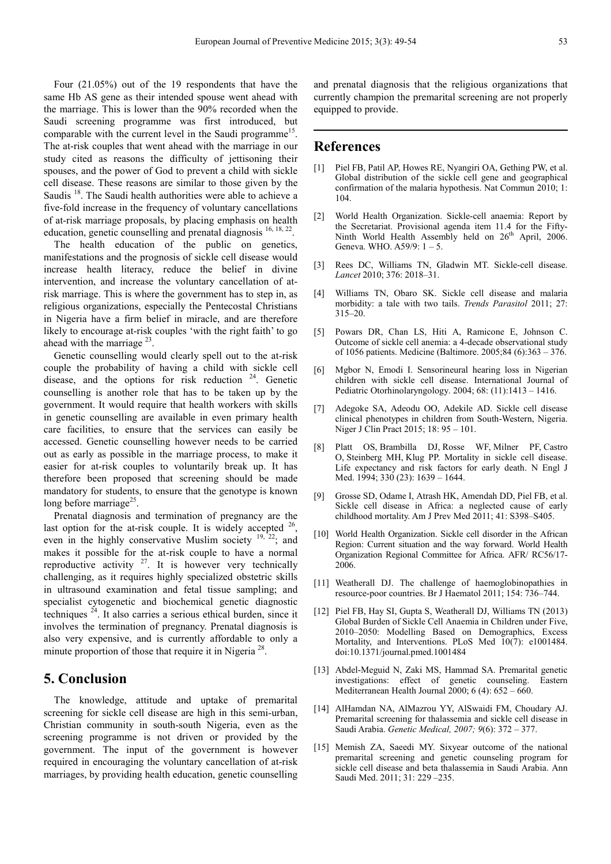Four (21.05%) out of the 19 respondents that have the same Hb AS gene as their intended spouse went ahead with the marriage. This is lower than the 90% recorded when the Saudi screening programme was first introduced, but comparable with the current level in the Saudi programme<sup>15</sup>. The at-risk couples that went ahead with the marriage in our study cited as reasons the difficulty of jettisoning their spouses, and the power of God to prevent a child with sickle cell disease. These reasons are similar to those given by the Saudis<sup>18</sup>. The Saudi health authorities were able to achieve a five-fold increase in the frequency of voluntary cancellations of at-risk marriage proposals, by placing emphasis on health education, genetic counselling and prenatal diagnosis <sup>16, 18, 22</sup>.

The health education of the public on genetics, manifestations and the prognosis of sickle cell disease would increase health literacy, reduce the belief in divine intervention, and increase the voluntary cancellation of atrisk marriage. This is where the government has to step in, as religious organizations, especially the Pentecostal Christians in Nigeria have a firm belief in miracle, and are therefore likely to encourage at-risk couples 'with the right faith' to go ahead with the marriage  $^{23}$ .

Genetic counselling would clearly spell out to the at-risk couple the probability of having a child with sickle cell disease, and the options for risk reduction <sup>24</sup>. Genetic counselling is another role that has to be taken up by the government. It would require that health workers with skills in genetic counselling are available in even primary health care facilities, to ensure that the services can easily be accessed. Genetic counselling however needs to be carried out as early as possible in the marriage process, to make it easier for at-risk couples to voluntarily break up. It has therefore been proposed that screening should be made mandatory for students, to ensure that the genotype is known long before marriage<sup>25</sup>.

Prenatal diagnosis and termination of pregnancy are the last option for the at-risk couple. It is widely accepted  $26$ , even in the highly conservative Muslim society <sup>19, 22</sup>; and makes it possible for the at-risk couple to have a normal reproductive activity  $27$ . It is however very technically challenging, as it requires highly specialized obstetric skills in ultrasound examination and fetal tissue sampling; and specialist cytogenetic and biochemical genetic diagnostic techniques <sup>24</sup>. It also carries a serious ethical burden, since it involves the termination of pregnancy. Prenatal diagnosis is also very expensive, and is currently affordable to only a minute proportion of those that require it in Nigeria<sup>28</sup>.

### **5. Conclusion**

The knowledge, attitude and uptake of premarital screening for sickle cell disease are high in this semi-urban, Christian community in south-south Nigeria, even as the screening programme is not driven or provided by the government. The input of the government is however required in encouraging the voluntary cancellation of at-risk marriages, by providing health education, genetic counselling

and prenatal diagnosis that the religious organizations that currently champion the premarital screening are not properly equipped to provide.

### **References**

- [1] Piel FB, Patil AP, Howes RE, Nyangiri OA, Gething PW, et al. Global distribution of the sickle cell gene and geographical confirmation of the malaria hypothesis. Nat Commun 2010; 1: 104.
- [2] World Health Organization. Sickle-cell anaemia: Report by the Secretariat. Provisional agenda item 11.4 for the Fifty-Ninth World Health Assembly held on 26<sup>th</sup> April, 2006. Geneva. WHO. A59/9: 1 – 5.
- [3] Rees DC, Williams TN, Gladwin MT. Sickle-cell disease. *Lancet* 2010; 376: 2018–31.
- [4] Williams TN, Obaro SK. Sickle cell disease and malaria morbidity: a tale with two tails. *Trends Parasitol* 2011; 27: 315–20.
- [5] Powars DR, Chan LS, Hiti A, Ramicone E, Johnson C. Outcome of sickle cell anemia: a 4-decade observational study of 1056 patients. Medicine (Baltimore. 2005;84 (6):363 – 376.
- [6] Mgbor N, Emodi I. Sensorineural hearing loss in Nigerian children with sickle cell disease. International Journal of Pediatric Otorhinolaryngology. 2004; 68: (11):1413 – 1416.
- [7] Adegoke SA, Adeodu OO, Adekile AD. Sickle cell disease clinical phenotypes in children from South-Western, Nigeria. Niger J Clin Pract 2015; 18: 95 – 101.
- [8] Platt OS, Brambilla DJ, Rosse WF, Milner PF, Castro O, Steinberg MH, Klug PP. Mortality in sickle cell disease. Life expectancy and risk factors for early death. N Engl J Med. 1994; 330 (23): 1639 – 1644.
- [9] Grosse SD, Odame I, Atrash HK, Amendah DD, Piel FB, et al. Sickle cell disease in Africa: a neglected cause of early childhood mortality. Am J Prev Med 2011; 41: S398–S405.
- [10] World Health Organization. Sickle cell disorder in the African Region: Current situation and the way forward. World Health Organization Regional Committee for Africa. AFR/ RC56/17- 2006.
- [11] Weatherall DJ. The challenge of haemoglobinopathies in resource-poor countries. Br J Haematol 2011; 154: 736–744.
- [12] Piel FB, Hay SI, Gupta S, Weatherall DJ, Williams TN (2013) Global Burden of Sickle Cell Anaemia in Children under Five, 2010–2050: Modelling Based on Demographics, Excess Mortality, and Interventions. PLoS Med 10(7): e1001484. doi:10.1371/journal.pmed.1001484
- [13] Abdel-Meguid N, Zaki MS, Hammad SA. Premarital genetic investigations: effect of genetic counseling. Eastern Mediterranean Health Journal 2000; 6 (4): 652 – 660.
- [14] AlHamdan NA, AlMazrou YY, AlSwaidi FM, Choudary AJ. Premarital screening for thalassemia and sickle cell disease in Saudi Arabia. *Genetic Medical, 2007; 9*(6): 372 – 377.
- [15] Memish ZA, Saeedi MY. Sixyear outcome of the national premarital screening and genetic counseling program for sickle cell disease and beta thalassemia in Saudi Arabia. Ann Saudi Med. 2011; 31: 229 –235.